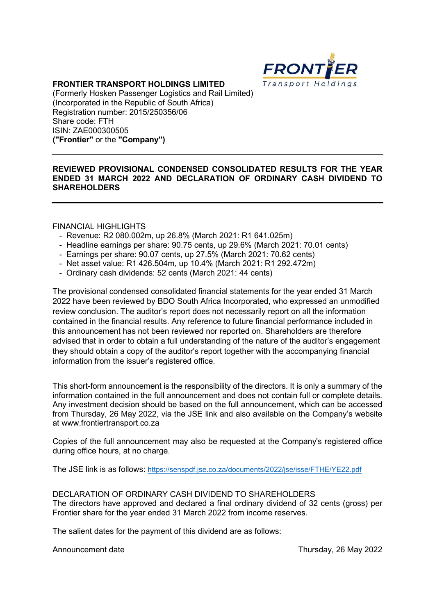

# FRONTIER TRANSPORT HOLDINGS LIMITED

(Formerly Hosken Passenger Logistics and Rail Limited) (Incorporated in the Republic of South Africa) Registration number: 2015/250356/06 Share code: FTH ISIN: ZAE000300505 ("Frontier" or the "Company")

# REVIEWED PROVISIONAL CONDENSED CONSOLIDATED RESULTS FOR THE YEAR ENDED 31 MARCH 2022 AND DECLARATION OF ORDINARY CASH DIVIDEND TO SHAREHOLDERS

## FINANCIAL HIGHLIGHTS

- Revenue: R2 080.002m, up 26.8% (March 2021: R1 641.025m)
- Headline earnings per share: 90.75 cents, up 29.6% (March 2021: 70.01 cents)
- Earnings per share: 90.07 cents, up 27.5% (March 2021: 70.62 cents)
- Net asset value: R1 426.504m, up 10.4% (March 2021: R1 292.472m)
- Ordinary cash dividends: 52 cents (March 2021: 44 cents)

The provisional condensed consolidated financial statements for the year ended 31 March 2022 have been reviewed by BDO South Africa Incorporated, who expressed an unmodified review conclusion. The auditor's report does not necessarily report on all the information contained in the financial results. Any reference to future financial performance included in this announcement has not been reviewed nor reported on. Shareholders are therefore advised that in order to obtain a full understanding of the nature of the auditor's engagement they should obtain a copy of the auditor's report together with the accompanying financial information from the issuer's registered office.

This short-form announcement is the responsibility of the directors. It is only a summary of the information contained in the full announcement and does not contain full or complete details. Any investment decision should be based on the full announcement, which can be accessed from Thursday, 26 May 2022, via the JSE link and also available on the Company's website at www.frontiertransport.co.za

Copies of the full announcement may also be requested at the Company's registered office during office hours, at no charge.

The JSE link is as follows: https://senspdf.jse.co.za/documents/2022/jse/isse/FTHE/YE22.pdf

### DECLARATION OF ORDINARY CASH DIVIDEND TO SHAREHOLDERS The directors have approved and declared a final ordinary dividend of 32 cents (gross) per Frontier share for the year ended 31 March 2022 from income reserves.

The salient dates for the payment of this dividend are as follows:

Announcement date **Thursday, 26 May 2022**